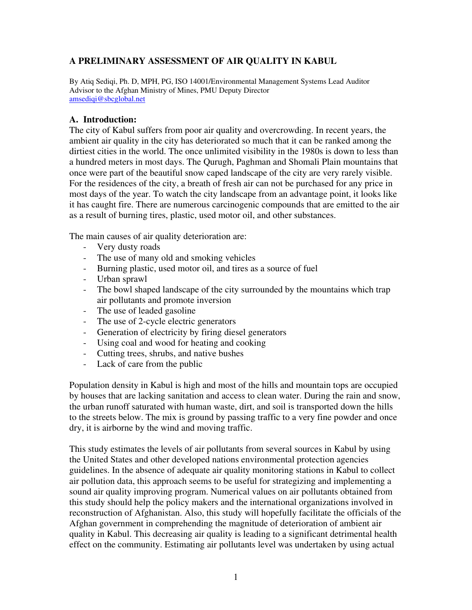## A PRELIMINARY ASSESSMENT OF AIR QUALITY IN KABUL

By Atiq Sediqi, Ph. D, MPH, PG, ISO 14001/Environmental Management Systems Lead Auditor Advisor to the Afghan Ministry of Mines, PMU Deputy Director amsediqi@sbcglobal.net

#### A. Introduction:

The city of Kabul suffers from poor air quality and overcrowding. In recent years, the ambient air quality in the city has deteriorated so much that it can be ranked among the dirtiest cities in the world. The once unlimited visibility in the 1980s is down to less than a hundred meters in most days. The Qurugh, Paghman and Shomali Plain mountains that once were part of the beautiful snow caped landscape of the city are very rarely visible. For the residences of the city, a breath of fresh air can not be purchased for any price in most days of the year. To watch the city landscape from an advantage point, it looks like it has caught fire. There are numerous carcinogenic compounds that are emitted to the air as a result of burning tires, plastic, used motor oil, and other substances.

The main causes of air quality deterioration are:

- Very dusty roads
- The use of many old and smoking vehicles
- Burning plastic, used motor oil, and tires as a source of fuel
- Urban sprawl
- The bowl shaped landscape of the city surrounded by the mountains which trap air pollutants and promote inversion
- The use of leaded gasoline
- The use of 2-cycle electric generators
- Generation of electricity by firing diesel generators
- Using coal and wood for heating and cooking
- Cutting trees, shrubs, and native bushes
- Lack of care from the public

Population density in Kabul is high and most of the hills and mountain tops are occupied by houses that are lacking sanitation and access to clean water. During the rain and snow, the urban runoff saturated with human waste, dirt, and soil is transported down the hills to the streets below. The mix is ground by passing traffic to a very fine powder and once dry, it is airborne by the wind and moving traffic.

This study estimates the levels of air pollutants from several sources in Kabul by using the United States and other developed nations environmental protection agencies guidelines. In the absence of adequate air quality monitoring stations in Kabul to collect air pollution data, this approach seems to be useful for strategizing and implementing a sound air quality improving program. Numerical values on air pollutants obtained from this study should help the policy makers and the international organizations involved in reconstruction of Afghanistan. Also, this study will hopefully facilitate the officials of the Afghan government in comprehending the magnitude of deterioration of ambient air quality in Kabul. This decreasing air quality is leading to a significant detrimental health effect on the community. Estimating air pollutants level was undertaken by using actual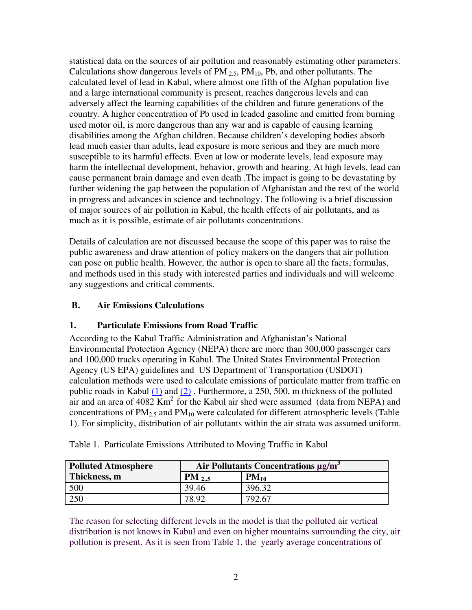statistical data on the sources of air pollution and reasonably estimating other parameters. Calculations show dangerous levels of  $PM_{2.5}$ ,  $PM_{10}$ ,  $Pb$ , and other pollutants. The calculated level of lead in Kabul, where almost one fifth of the Afghan population live and a large international community is present, reaches dangerous levels and can adversely affect the learning capabilities of the children and future generations of the country. A higher concentration of Pb used in leaded gasoline and emitted from burning used motor oil, is more dangerous than any war and is capable of causing learning disabilities among the Afghan children. Because children's developing bodies absorb lead much easier than adults, lead exposure is more serious and they are much more susceptible to its harmful effects. Even at low or moderate levels, lead exposure may harm the intellectual development, behavior, growth and hearing. At high levels, lead can cause permanent brain damage and even death .The impact is going to be devastating by further widening the gap between the population of Afghanistan and the rest of the world in progress and advances in science and technology. The following is a brief discussion of major sources of air pollution in Kabul, the health effects of air pollutants, and as much as it is possible, estimate of air pollutants concentrations.

Details of calculation are not discussed because the scope of this paper was to raise the public awareness and draw attention of policy makers on the dangers that air pollution can pose on public health. However, the author is open to share all the facts, formulas, and methods used in this study with interested parties and individuals and will welcome any suggestions and critical comments.

## B. Air Emissions Calculations

#### 1. Particulate Emissions from Road Traffic

According to the Kabul Traffic Administration and Afghanistan's National Environmental Protection Agency (NEPA) there are more than 300,000 passenger cars and 100,000 trucks operating in Kabul. The United States Environmental Protection Agency (US EPA) guidelines and US Department of Transportation (USDOT) calculation methods were used to calculate emissions of particulate matter from traffic on public roads in Kabul (1) and (2) . Furthermore, a 250, 500, m thickness of the polluted air and an area of 4082  $\text{Km}^2$  for the Kabul air shed were assumed (data from NEPA) and concentrations of  $PM<sub>2.5</sub>$  and  $PM<sub>10</sub>$  were calculated for different atmospheric levels (Table 1). For simplicity, distribution of air pollutants within the air strata was assumed uniform.

| <b>Polluted Atmosphere</b> | Air Pollutants Concentrations µg/m <sup>3</sup> |           |
|----------------------------|-------------------------------------------------|-----------|
| Thickness, m               | $PM_{2.5}$                                      | $PM_{10}$ |
| 500                        | 39.46                                           | 396.32    |
| 250                        | 78.92                                           | 792.67    |

Table 1. Particulate Emissions Attributed to Moving Traffic in Kabul

The reason for selecting different levels in the model is that the polluted air vertical distribution is not knows in Kabul and even on higher mountains surrounding the city, air pollution is present. As it is seen from Table 1, the yearly average concentrations of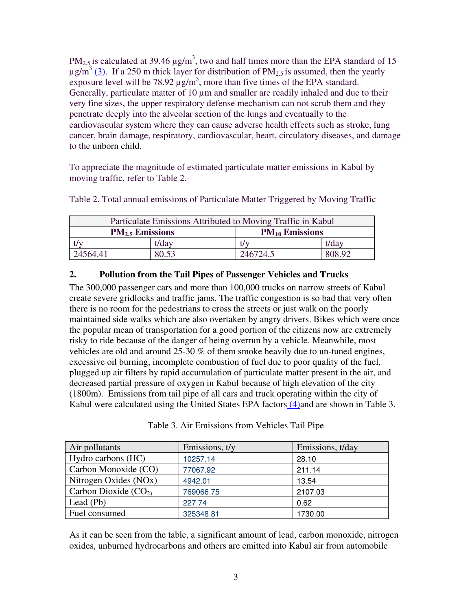PM<sub>2.5</sub> is calculated at 39.46  $\mu$ g/m<sup>3</sup>, two and half times more than the EPA standard of 15  $\mu$ g/m<sup>3</sup> (3). If a 250 m thick layer for distribution of PM<sub>2.5</sub> is assumed, then the yearly exposure level will be 78.92  $\mu$ g/m<sup>3</sup>, more than five times of the EPA standard. Generally, particulate matter of 10  $\mu$ m and smaller are readily inhaled and due to their very fine sizes, the upper respiratory defense mechanism can not scrub them and they penetrate deeply into the alveolar section of the lungs and eventually to the cardiovascular system where they can cause adverse health effects such as stroke, lung cancer, brain damage, respiratory, cardiovascular, heart, circulatory diseases, and damage to the unborn child.

To appreciate the magnitude of estimated particulate matter emissions in Kabul by moving traffic, refer to Table 2.

| Particulate Emissions Attributed to Moving Traffic in Kabul |       |                     |        |
|-------------------------------------------------------------|-------|---------------------|--------|
| $PM_{2.5}$ Emissions                                        |       | $PM_{10}$ Emissions |        |
| t/day                                                       |       | t/v                 | t/day  |
| 24564.41                                                    | 80.53 | 246724.5            | 808.92 |

Table 2. Total annual emissions of Particulate Matter Triggered by Moving Traffic

## 2. Pollution from the Tail Pipes of Passenger Vehicles and Trucks

The 300,000 passenger cars and more than 100,000 trucks on narrow streets of Kabul create severe gridlocks and traffic jams. The traffic congestion is so bad that very often there is no room for the pedestrians to cross the streets or just walk on the poorly maintained side walks which are also overtaken by angry drivers. Bikes which were once the popular mean of transportation for a good portion of the citizens now are extremely risky to ride because of the danger of being overrun by a vehicle. Meanwhile, most vehicles are old and around 25-30 % of them smoke heavily due to un-tuned engines, excessive oil burning, incomplete combustion of fuel due to poor quality of the fuel, plugged up air filters by rapid accumulation of particulate matter present in the air, and decreased partial pressure of oxygen in Kabul because of high elevation of the city (1800m). Emissions from tail pipe of all cars and truck operating within the city of Kabul were calculated using the United States EPA factors (4) and are shown in Table 3.

| Air pollutants         | Emissions, t/y | Emissions, t/day |
|------------------------|----------------|------------------|
| Hydro carbons (HC)     | 10257.14       | 28.10            |
| Carbon Monoxide (CO)   | 77067.92       | 211.14           |
| Nitrogen Oxides (NOx)  | 4942.01        | 13.54            |
| Carbon Dioxide $(CO2)$ | 769066.75      | 2107.03          |
| Lead $(Pb)$            | 227.74         | 0.62             |
| Fuel consumed          | 325348.81      | 1730.00          |

Table 3. Air Emissions from Vehicles Tail Pipe

As it can be seen from the table, a significant amount of lead, carbon monoxide, nitrogen oxides, unburned hydrocarbons and others are emitted into Kabul air from automobile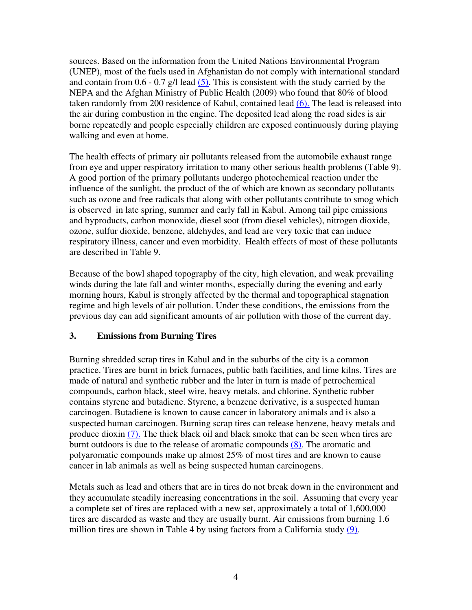sources. Based on the information from the United Nations Environmental Program (UNEP), most of the fuels used in Afghanistan do not comply with international standard and contain from  $0.6 - 0.7$  g/l lead  $(5)$ . This is consistent with the study carried by the NEPA and the Afghan Ministry of Public Health (2009) who found that 80% of blood taken randomly from 200 residence of Kabul, contained lead (6). The lead is released into the air during combustion in the engine. The deposited lead along the road sides is air borne repeatedly and people especially children are exposed continuously during playing walking and even at home.

The health effects of primary air pollutants released from the automobile exhaust range from eye and upper respiratory irritation to many other serious health problems (Table 9). A good portion of the primary pollutants undergo photochemical reaction under the influence of the sunlight, the product of the of which are known as secondary pollutants such as ozone and free radicals that along with other pollutants contribute to smog which is observed in late spring, summer and early fall in Kabul. Among tail pipe emissions and byproducts, carbon monoxide, diesel soot (from diesel vehicles), nitrogen dioxide, ozone, sulfur dioxide, benzene, aldehydes, and lead are very toxic that can induce respiratory illness, cancer and even morbidity. Health effects of most of these pollutants are described in Table 9.

Because of the bowl shaped topography of the city, high elevation, and weak prevailing winds during the late fall and winter months, especially during the evening and early morning hours, Kabul is strongly affected by the thermal and topographical stagnation regime and high levels of air pollution. Under these conditions, the emissions from the previous day can add significant amounts of air pollution with those of the current day.

## 3. Emissions from Burning Tires

Burning shredded scrap tires in Kabul and in the suburbs of the city is a common practice. Tires are burnt in brick furnaces, public bath facilities, and lime kilns. Tires are made of natural and synthetic rubber and the later in turn is made of petrochemical compounds, carbon black, steel wire, heavy metals, and chlorine. Synthetic rubber contains styrene and butadiene. Styrene, a benzene derivative, is a suspected human carcinogen. Butadiene is known to cause cancer in laboratory animals and is also a suspected human carcinogen. Burning scrap tires can release benzene, heavy metals and produce dioxin (7). The thick black oil and black smoke that can be seen when tires are burnt outdoors is due to the release of aromatic compounds (8). The aromatic and polyaromatic compounds make up almost 25% of most tires and are known to cause cancer in lab animals as well as being suspected human carcinogens.

Metals such as lead and others that are in tires do not break down in the environment and they accumulate steadily increasing concentrations in the soil. Assuming that every year a complete set of tires are replaced with a new set, approximately a total of 1,600,000 tires are discarded as waste and they are usually burnt. Air emissions from burning 1.6 million tires are shown in Table 4 by using factors from a California study (9).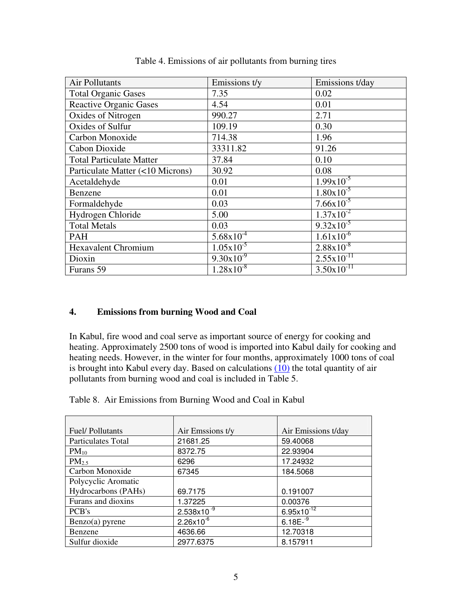| Air Pollutants                   | Emissions t/y         | Emissions t/day        |
|----------------------------------|-----------------------|------------------------|
| <b>Total Organic Gases</b>       | 7.35                  | 0.02                   |
| <b>Reactive Organic Gases</b>    | 4.54                  | 0.01                   |
| Oxides of Nitrogen               | 990.27                | 2.71                   |
| Oxides of Sulfur                 | 109.19                | 0.30                   |
| Carbon Monoxide                  | 714.38                | 1.96                   |
| Cabon Dioxide                    | 33311.82              | 91.26                  |
| <b>Total Particulate Matter</b>  | 37.84                 | 0.10                   |
| Particulate Matter (<10 Microns) | 30.92                 | 0.08                   |
| Acetaldehyde                     | 0.01                  | $1.99x10^{-5}$         |
| Benzene                          | 0.01                  | $1.80 \times 10^{-5}$  |
| Formaldehyde                     | 0.03                  | $7.66x10^{-5}$         |
| Hydrogen Chloride                | 5.00                  | $1.37 \times 10^{-2}$  |
| <b>Total Metals</b>              | 0.03                  | $9.32 \times 10^{-5}$  |
| <b>PAH</b>                       | $5.68 \times 10^{-4}$ | $1.61x10^{-6}$         |
| <b>Hexavalent Chromium</b>       | $1.05 \times 10^{-5}$ | $2.88 \times 10^{-8}$  |
| Dioxin                           | $9.30x10^{-9}$        | $2.55 \times 10^{-11}$ |
| Furans 59                        | $1.28 \times 10^{-8}$ | $3.50x10^{-11}$        |

Table 4. Emissions of air pollutants from burning tires

## 4. Emissions from burning Wood and Coal

In Kabul, fire wood and coal serve as important source of energy for cooking and heating. Approximately 2500 tons of wood is imported into Kabul daily for cooking and heating needs. However, in the winter for four months, approximately 1000 tons of coal is brought into Kabul every day. Based on calculations  $(10)$  the total quantity of air pollutants from burning wood and coal is included in Table 5.

Table 8. Air Emissions from Burning Wood and Coal in Kabul

| <b>Fuel/Pollutants</b> | Air Emssions t/y      | Air Emissions t/day |
|------------------------|-----------------------|---------------------|
| Particulates Total     | 21681.25              | 59.40068            |
| $PM_{10}$              | 8372.75               | 22.93904            |
| PM <sub>2.5</sub>      | 6296                  | 17.24932            |
| Carbon Monoxide        | 67345                 | 184.5068            |
| Polycyclic Aromatic    |                       |                     |
| Hydrocarbons (PAHs)    | 69.7175               | 0.191007            |
| Furans and dioxins     | 1.37225               | 0.00376             |
| PCB's                  | $2.538\times10^{-9}$  | $6.95x10^{-12}$     |
| $Benzo(a)$ pyrene      | $2.26 \times 10^{-6}$ | $6.18E^{-9}$        |
| Benzene                | 4636.66               | 12.70318            |
| Sulfur dioxide         | 2977.6375             | 8.157911            |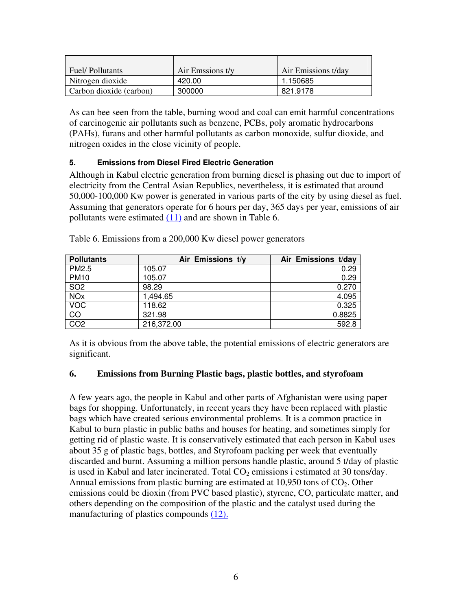| <b>Fuel/Pollutants</b>  | Air Emssions t/y | Air Emissions t/day |
|-------------------------|------------------|---------------------|
| Nitrogen dioxide        | 420.00           | 1.150685            |
| Carbon dioxide (carbon) | 300000           | 821.9178            |

As can bee seen from the table, burning wood and coal can emit harmful concentrations of carcinogenic air pollutants such as benzene, PCBs, poly aromatic hydrocarbons (PAHs), furans and other harmful pollutants as carbon monoxide, sulfur dioxide, and nitrogen oxides in the close vicinity of people.

## 5. Emissions from Diesel Fired Electric Generation

Although in Kabul electric generation from burning diesel is phasing out due to import of electricity from the Central Asian Republics, nevertheless, it is estimated that around 50,000-100,000 Kw power is generated in various parts of the city by using diesel as fuel. Assuming that generators operate for 6 hours per day, 365 days per year, emissions of air pollutants were estimated (11) and are shown in Table 6.

| <b>Pollutants</b> | Air Emissions t/y | Air Emissions t/day |
|-------------------|-------------------|---------------------|
| PM2.5             | 105.07            | 0.29                |
| <b>PM10</b>       | 105.07            | 0.29                |
| SO <sub>2</sub>   | 98.29             | 0.270               |
| <b>NOx</b>        | 1,494.65          | 4.095               |
| <b>VOC</b>        | 118.62            | 0.325               |
| $\overline{CO}$   | 321.98            | 0.8825              |
| CO <sub>2</sub>   | 216,372.00        | 592.8               |

Table 6. Emissions from a 200,000 Kw diesel power generators

As it is obvious from the above table, the potential emissions of electric generators are significant.

## 6. Emissions from Burning Plastic bags, plastic bottles, and styrofoam

A few years ago, the people in Kabul and other parts of Afghanistan were using paper bags for shopping. Unfortunately, in recent years they have been replaced with plastic bags which have created serious environmental problems. It is a common practice in Kabul to burn plastic in public baths and houses for heating, and sometimes simply for getting rid of plastic waste. It is conservatively estimated that each person in Kabul uses about 35 g of plastic bags, bottles, and Styrofoam packing per week that eventually discarded and burnt. Assuming a million persons handle plastic, around 5 t/day of plastic is used in Kabul and later incinerated. Total  $CO<sub>2</sub>$  emissions i estimated at 30 tons/day. Annual emissions from plastic burning are estimated at  $10,950$  tons of  $CO<sub>2</sub>$ . Other emissions could be dioxin (from PVC based plastic), styrene, CO, particulate matter, and others depending on the composition of the plastic and the catalyst used during the manufacturing of plastics compounds (12).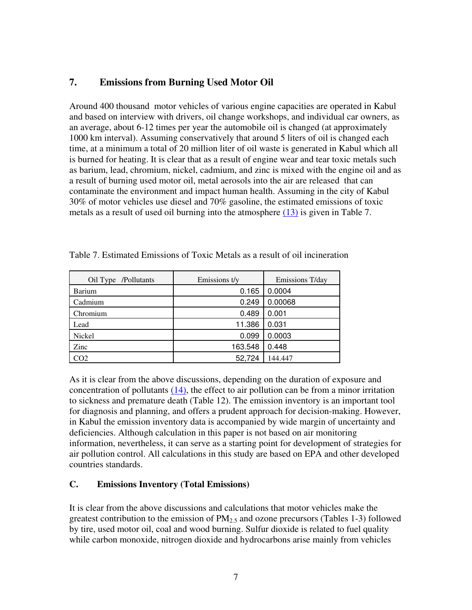# 7. Emissions from Burning Used Motor Oil

Around 400 thousand motor vehicles of various engine capacities are operated in Kabul and based on interview with drivers, oil change workshops, and individual car owners, as an average, about 6-12 times per year the automobile oil is changed (at approximately 1000 km interval). Assuming conservatively that around 5 liters of oil is changed each time, at a minimum a total of 20 million liter of oil waste is generated in Kabul which all is burned for heating. It is clear that as a result of engine wear and tear toxic metals such as barium, lead, chromium, nickel, cadmium, and zinc is mixed with the engine oil and as a result of burning used motor oil, metal aerosols into the air are released that can contaminate the environment and impact human health. Assuming in the city of Kabul 30% of motor vehicles use diesel and 70% gasoline, the estimated emissions of toxic metals as a result of used oil burning into the atmosphere (13) is given in Table 7.

| Oil Type /Pollutants | Emissions t/y | Emissions T/day |
|----------------------|---------------|-----------------|
| Barium               | 0.165         | 0.0004          |
| Cadmium              | 0.249         | 0.00068         |
| Chromium             | 0.489         | 0.001           |
| Lead                 | 11.386        | 0.031           |
| Nickel               | 0.099         | 0.0003          |
| Zinc                 | 163.548       | 0.448           |
| 202                  | 52,724        | 144.447         |

Table 7. Estimated Emissions of Toxic Metals as a result of oil incineration

As it is clear from the above discussions, depending on the duration of exposure and concentration of pollutants (14), the effect to air pollution can be from a minor irritation to sickness and premature death (Table 12). The emission inventory is an important tool for diagnosis and planning, and offers a prudent approach for decision-making. However, in Kabul the emission inventory data is accompanied by wide margin of uncertainty and deficiencies. Although calculation in this paper is not based on air monitoring information, nevertheless, it can serve as a starting point for development of strategies for air pollution control. All calculations in this study are based on EPA and other developed countries standards.

## C. Emissions Inventory (Total Emissions)

It is clear from the above discussions and calculations that motor vehicles make the greatest contribution to the emission of  $PM<sub>2.5</sub>$  and ozone precursors (Tables 1-3) followed by tire, used motor oil, coal and wood burning. Sulfur dioxide is related to fuel quality while carbon monoxide, nitrogen dioxide and hydrocarbons arise mainly from vehicles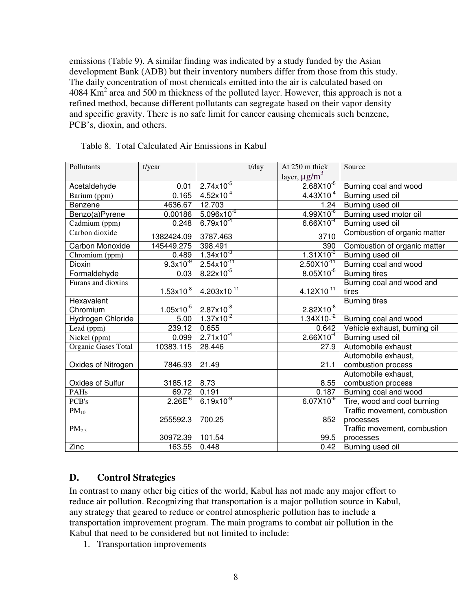emissions (Table 9). A similar finding was indicated by a study funded by the Asian development Bank (ADB) but their inventory numbers differ from those from this study. The daily concentration of most chemicals emitted into the air is calculated based on 4084  $\mathrm{Km}^2$  area and 500 m thickness of the polluted layer. However, this approach is not a refined method, because different pollutants can segregate based on their vapor density and specific gravity. There is no safe limit for cancer causing chemicals such benzene, PCB's, dioxin, and others.

| Pollutants          | t/year         | t/day                                             | At 250 m thick                | Source                       |
|---------------------|----------------|---------------------------------------------------|-------------------------------|------------------------------|
|                     |                |                                                   | layer, $\mu$ g/m <sup>3</sup> |                              |
| Acetaldehyde        | 0.01           | $2.74x10^{-5}$                                    | $2.68X10^{-5}$                | Burning coal and wood        |
| Barium (ppm)        | 0.165          | $4.52 \times 10^{-4}$                             | $4.43\times10^{-4}$           | Burning used oil             |
| Benzene             | 4636.67        | 12.703                                            | 1.24                          | Burning used oil             |
| Benzo(a)Pyrene      | 0.00186        | $5.096x10^{-6}$                                   | $4.99X10^{-6}$                | Burning used motor oil       |
| Cadmium (ppm)       | 0.248          | $6.79x10^{-4}$                                    | $6.66X10^{-4}$                | Burning used oil             |
| Carbon dioxide      | 1382424.09     | 3787.463                                          | 3710                          | Combustion of organic matter |
| Carbon Monoxide     | 145449.275     | 398.491                                           | 390                           | Combustion of organic matter |
| Chromium (ppm)      | 0.489          | $1.34x10^{-3}$                                    | $1.31X10^{-3}$                | Burning used oil             |
| Dioxin              | $9.3x10^{-9}$  | $2.54 \times 10^{-11}$                            | $2.50X10^{-11}$               | Burning coal and wood        |
| Formaldehyde        | 0.03           | $8.22 \times 10^{-5}$                             | $8.05X10^{-5}$                | <b>Burning tires</b>         |
| Furans and dioxins  |                |                                                   |                               | Burning coal and wood and    |
|                     | $1.53x10^{-8}$ | $4.203 \times 10^{-11}$                           | $4.12X10^{-11}$               | tires                        |
| Hexavalent          |                |                                                   |                               | <b>Burning tires</b>         |
| Chromium            | $1.05x10^{-5}$ |                                                   | $2.82X10^{-8}$                |                              |
| Hydrogen Chloride   | 5.00           | $\frac{2.87 \times 10^{-8}}{1.37 \times 10^{-2}}$ | $1.34 \times 10^{-2}$         | Burning coal and wood        |
| Lead (ppm)          | 239.12         | 0.655                                             | 0.642                         | Vehicle exhaust, burning oil |
| Nickel (ppm)        | 0.099          | $2.71 \times 10^{-4}$                             | $2.66X10^{-4}$                | Burning used oil             |
| Organic Gases Total | 10383.115      | 28.446                                            | 27.9                          | Automobile exhaust           |
|                     |                |                                                   |                               | Automobile exhaust,          |
| Oxides of Nitrogen  | 7846.93        | 21.49                                             | 21.1                          | combustion process           |
|                     |                |                                                   |                               | Automobile exhaust,          |
| Oxides of Sulfur    | 3185.12        | 8.73                                              | 8.55                          | combustion process           |
| PAHs                | 69.72          | 0.191                                             | 0.187                         | Burning coal and wood        |
| PCB's               | $2.26E^{-6}$   | $6.19x10^{-9}$                                    | $6.07X10^{-9}$                | Tire, wood and cool burning  |
| $PM_{10}$           |                |                                                   |                               | Traffic movement, combustion |
|                     | 255592.3       | 700.25                                            | 852                           | processes                    |
| PM <sub>2.5</sub>   |                |                                                   |                               | Traffic movement, combustion |
|                     | 30972.39       | 101.54                                            | 99.5                          | processes                    |
| $\overline{Z}$ inc  | 163.55         | 0.448                                             | 0.42                          | Burning used oil             |

Table 8. Total Calculated Air Emissions in Kabul

## D. Control Strategies

In contrast to many other big cities of the world, Kabul has not made any major effort to reduce air pollution. Recognizing that transportation is a major pollution source in Kabul, any strategy that geared to reduce or control atmospheric pollution has to include a transportation improvement program. The main programs to combat air pollution in the Kabul that need to be considered but not limited to include:

1. Transportation improvements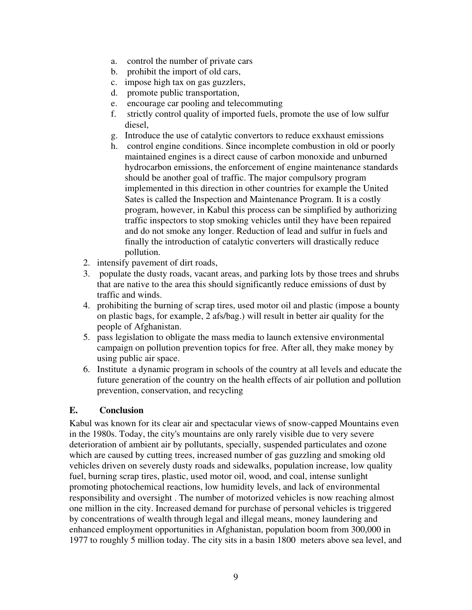- a. control the number of private cars
- b. prohibit the import of old cars,
- c. impose high tax on gas guzzlers,
- d. promote public transportation,
- e. encourage car pooling and telecommuting
- f. strictly control quality of imported fuels, promote the use of low sulfur diesel,
- g. Introduce the use of catalytic convertors to reduce exxhaust emissions
- h. control engine conditions. Since incomplete combustion in old or poorly maintained engines is a direct cause of carbon monoxide and unburned hydrocarbon emissions, the enforcement of engine maintenance standards should be another goal of traffic. The major compulsory program implemented in this direction in other countries for example the United Sates is called the Inspection and Maintenance Program. It is a costly program, however, in Kabul this process can be simplified by authorizing traffic inspectors to stop smoking vehicles until they have been repaired and do not smoke any longer. Reduction of lead and sulfur in fuels and finally the introduction of catalytic converters will drastically reduce pollution.
- 2. intensify pavement of dirt roads,
- 3. populate the dusty roads, vacant areas, and parking lots by those trees and shrubs that are native to the area this should significantly reduce emissions of dust by traffic and winds.
- 4. prohibiting the burning of scrap tires, used motor oil and plastic (impose a bounty on plastic bags, for example, 2 afs/bag.) will result in better air quality for the people of Afghanistan.
- 5. pass legislation to obligate the mass media to launch extensive environmental campaign on pollution prevention topics for free. After all, they make money by using public air space.
- 6. Institute a dynamic program in schools of the country at all levels and educate the future generation of the country on the health effects of air pollution and pollution prevention, conservation, and recycling

# E. Conclusion

Kabul was known for its clear air and spectacular views of snow-capped Mountains even in the 1980s. Today, the city's mountains are only rarely visible due to very severe deterioration of ambient air by pollutants, specially, suspended particulates and ozone which are caused by cutting trees, increased number of gas guzzling and smoking old vehicles driven on severely dusty roads and sidewalks, population increase, low quality fuel, burning scrap tires, plastic, used motor oil, wood, and coal, intense sunlight promoting photochemical reactions, low humidity levels, and lack of environmental responsibility and oversight . The number of motorized vehicles is now reaching almost one million in the city. Increased demand for purchase of personal vehicles is triggered by concentrations of wealth through legal and illegal means, money laundering and enhanced employment opportunities in Afghanistan, population boom from 300,000 in 1977 to roughly 5 million today. The city sits in a basin 1800 meters above sea level, and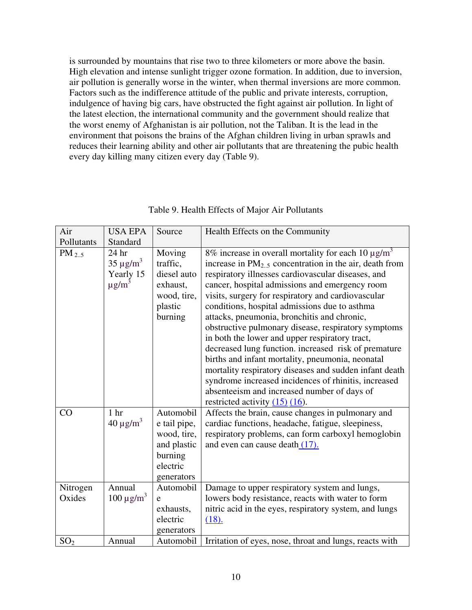is surrounded by mountains that rise two to three kilometers or more above the basin. High elevation and intense sunlight trigger ozone formation. In addition, due to inversion, air pollution is generally worse in the winter, when thermal inversions are more common. Factors such as the indifference attitude of the public and private interests, corruption, indulgence of having big cars, have obstructed the fight against air pollution. In light of the latest election, the international community and the government should realize that the worst enemy of Afghanistan is air pollution, not the Taliban. It is the lead in the environment that poisons the brains of the Afghan children living in urban sprawls and reduces their learning ability and other air pollutants that are threatening the pubic health every day killing many citizen every day (Table 9).

| Air                | <b>USA EPA</b>                                                            | Source                                                                                       | Health Effects on the Community                                                                                                                                                                                                                                                                                                                                                                                                                                                                                                                                                                                                                                                                                                                                                                                               |
|--------------------|---------------------------------------------------------------------------|----------------------------------------------------------------------------------------------|-------------------------------------------------------------------------------------------------------------------------------------------------------------------------------------------------------------------------------------------------------------------------------------------------------------------------------------------------------------------------------------------------------------------------------------------------------------------------------------------------------------------------------------------------------------------------------------------------------------------------------------------------------------------------------------------------------------------------------------------------------------------------------------------------------------------------------|
| Pollutants         | Standard                                                                  |                                                                                              |                                                                                                                                                                                                                                                                                                                                                                                                                                                                                                                                                                                                                                                                                                                                                                                                                               |
| $PM_{2.5}$         | 24 <sub>hr</sub><br>$35 \mu g/m^3$<br>Yearly 15<br>$\mu$ g/m <sup>3</sup> | Moving<br>traffic,<br>diesel auto<br>exhaust,<br>wood, tire,<br>plastic<br>burning           | 8% increase in overall mortality for each 10 $\mu$ g/m <sup>3</sup><br>increase in $PM_{2.5}$ concentration in the air, death from<br>respiratory illnesses cardiovascular diseases, and<br>cancer, hospital admissions and emergency room<br>visits, surgery for respiratory and cardiovascular<br>conditions, hospital admissions due to asthma<br>attacks, pneumonia, bronchitis and chronic,<br>obstructive pulmonary disease, respiratory symptoms<br>in both the lower and upper respiratory tract,<br>decreased lung function. increased risk of premature<br>births and infant mortality, pneumonia, neonatal<br>mortality respiratory diseases and sudden infant death<br>syndrome increased incidences of rhinitis, increased<br>absenteeism and increased number of days of<br>restricted activity $(15)$ $(16)$ . |
| CO                 | 1 <sub>hr</sub><br>$40 \mu g/m^3$                                         | Automobil<br>e tail pipe,<br>wood, tire,<br>and plastic<br>burning<br>electric<br>generators | Affects the brain, cause changes in pulmonary and<br>cardiac functions, headache, fatigue, sleepiness,<br>respiratory problems, can form carboxyl hemoglobin<br>and even can cause death (17).                                                                                                                                                                                                                                                                                                                                                                                                                                                                                                                                                                                                                                |
| Nitrogen<br>Oxides | Annual<br>$100 \mu g/m^3$                                                 | Automobil<br>e<br>exhausts,<br>electric<br>generators                                        | Damage to upper respiratory system and lungs,<br>lowers body resistance, reacts with water to form<br>nitric acid in the eyes, respiratory system, and lungs<br>(18).                                                                                                                                                                                                                                                                                                                                                                                                                                                                                                                                                                                                                                                         |
| SO <sub>2</sub>    | Annual                                                                    | Automobil                                                                                    | Irritation of eyes, nose, throat and lungs, reacts with                                                                                                                                                                                                                                                                                                                                                                                                                                                                                                                                                                                                                                                                                                                                                                       |

## Table 9. Health Effects of Major Air Pollutants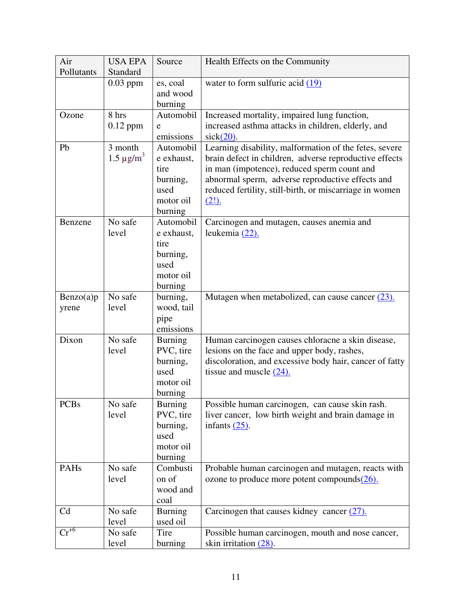| Air                         | <b>USA EPA</b>    | Source                      | Health Effects on the Community                                                                  |
|-----------------------------|-------------------|-----------------------------|--------------------------------------------------------------------------------------------------|
| Pollutants                  | Standard          |                             |                                                                                                  |
|                             | $0.03$ ppm        | es, coal                    | water to form sulfuric acid $(19)$                                                               |
|                             |                   | and wood                    |                                                                                                  |
|                             |                   | burning                     |                                                                                                  |
| Ozone                       | 8 hrs             | Automobil                   | Increased mortality, impaired lung function,                                                     |
|                             | $0.12$ ppm        | e                           | increased asthma attacks in children, elderly, and                                               |
|                             |                   | emissions                   | $sick(20)$ .                                                                                     |
| Pb                          | 3 month           | Automobil                   | Learning disability, malformation of the fetes, severe                                           |
|                             | $1.5 \,\mu g/m^3$ | e exhaust,                  | brain defect in children, adverse reproductive effects                                           |
|                             |                   | tire                        | in man (impotence), reduced sperm count and                                                      |
|                             |                   | burning,                    | abnormal sperm, adverse reproductive effects and                                                 |
|                             |                   | used                        | reduced fertility, still-birth, or miscarriage in women                                          |
|                             |                   | motor oil                   | $(2!)$ .                                                                                         |
|                             |                   | burning                     |                                                                                                  |
| Benzene                     | No safe           | Automobil                   | Carcinogen and mutagen, causes anemia and                                                        |
|                             | level             | e exhaust,                  | leukemia (22).                                                                                   |
|                             |                   | tire                        |                                                                                                  |
|                             |                   | burning,                    |                                                                                                  |
|                             |                   | used                        |                                                                                                  |
|                             |                   | motor oil                   |                                                                                                  |
|                             |                   | burning                     |                                                                                                  |
| Benzo(a)p                   | No safe           | burning,                    | Mutagen when metabolized, can cause cancer $(23)$ .                                              |
| yrene                       | level             | wood, tail                  |                                                                                                  |
|                             |                   | pipe                        |                                                                                                  |
| Dixon                       | No safe           | emissions                   |                                                                                                  |
|                             | level             | <b>Burning</b><br>PVC, tire | Human carcinogen causes chloracne a skin disease,<br>lesions on the face and upper body, rashes, |
|                             |                   | burning,                    | discoloration, and excessive body hair, cancer of fatty                                          |
|                             |                   | used                        | tissue and muscle $(24)$ .                                                                       |
|                             |                   | motor oil                   |                                                                                                  |
|                             |                   | burning                     |                                                                                                  |
| <b>PCBs</b>                 | No safe           | <b>Burning</b>              | Possible human carcinogen, can cause skin rash.                                                  |
|                             | level             | PVC, tire                   | liver cancer, low birth weight and brain damage in                                               |
|                             |                   | burning,                    | infants $(25)$ .                                                                                 |
|                             |                   | used                        |                                                                                                  |
|                             |                   | motor oil                   |                                                                                                  |
|                             |                   | burning                     |                                                                                                  |
| PAHs                        | No safe           | Combusti                    | Probable human carcinogen and mutagen, reacts with                                               |
|                             | level             | on of                       | ozone to produce more potent compounds $(26)$ .                                                  |
|                             |                   | wood and                    |                                                                                                  |
|                             |                   | coal                        |                                                                                                  |
| Cd                          | No safe           | <b>Burning</b>              | Carcinogen that causes kidney cancer $(27)$ .                                                    |
|                             | level             | used oil                    |                                                                                                  |
| $\overline{\text{Cr}}^{+6}$ | No safe           | Tire                        | Possible human carcinogen, mouth and nose cancer,                                                |
|                             | level             | burning                     | skin irritation $(28)$ .                                                                         |